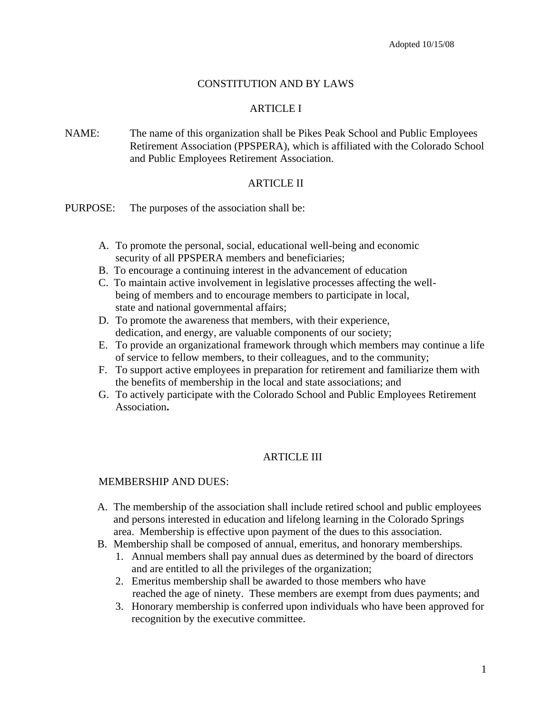# CONSTITUTION AND BY LAWS

### ARTICLE I

NAME: The name of this organization shall be Pikes Peak School and Public Employees Retirement Association (PPSPERA), which is affiliated with the Colorado School and Public Employees Retirement Association.

#### ARTICLE II

- PURPOSE: The purposes of the association shall be:
	- A. To promote the personal, social, educational well-being and economic security of all PPSPERA members and beneficiaries;
	- B. To encourage a continuing interest in the advancement of education
	- C. To maintain active involvement in legislative processes affecting the well being of members and to encourage members to participate in local, state and national governmental affairs;
	- D. To promote the awareness that members, with their experience, dedication, and energy, are valuable components of our society;
	- E. To provide an organizational framework through which members may continue a life of service to fellow members, to their colleagues, and to the community;
	- F. To support active employees in preparation for retirement and familiarize them with the benefits of membership in the local and state associations; and
	- G. To actively participate with the Colorado School and Public Employees Retirement Association**.**

### ARTICLE III

#### MEMBERSHIP AND DUES:

- A. The membership of the association shall include retired school and public employees and persons interested in education and lifelong learning in the Colorado Springs area. Membership is effective upon payment of the dues to this association.
- B. Membership shall be composed of annual, emeritus, and honorary memberships.
	- 1. Annual members shall pay annual dues as determined by the board of directors and are entitled to all the privileges of the organization;
	- 2. Emeritus membership shall be awarded to those members who have reached the age of ninety. These members are exempt from dues payments; and
	- 3. Honorary membership is conferred upon individuals who have been approved for recognition by the executive committee.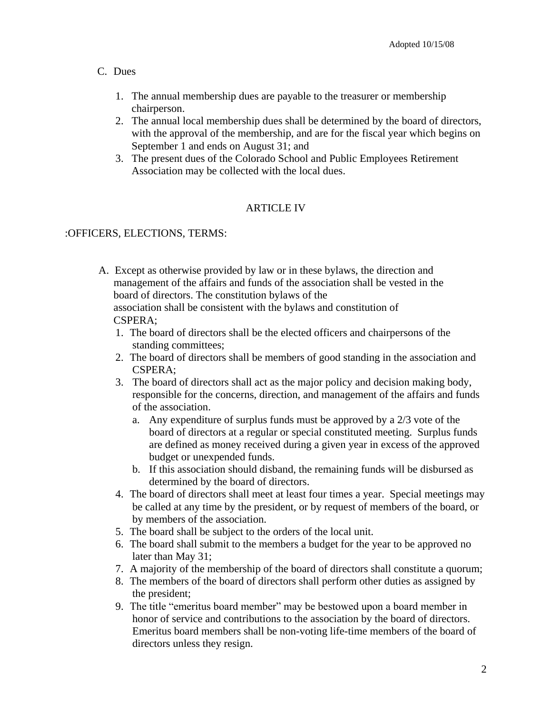### C. Dues

- 1. The annual membership dues are payable to the treasurer or membership chairperson.
- 2. The annual local membership dues shall be determined by the board of directors, with the approval of the membership, and are for the fiscal year which begins on September 1 and ends on August 31; and
- 3. The present dues of the Colorado School and Public Employees Retirement Association may be collected with the local dues.

# ARTICLE IV

#### :OFFICERS, ELECTIONS, TERMS:

- A. Except as otherwise provided by law or in these bylaws, the direction and management of the affairs and funds of the association shall be vested in the board of directors. The constitution bylaws of the association shall be consistent with the bylaws and constitution of CSPERA;
	- 1. The board of directors shall be the elected officers and chairpersons of the standing committees;
	- 2. The board of directors shall be members of good standing in the association and CSPERA;
	- 3. The board of directors shall act as the major policy and decision making body, responsible for the concerns, direction, and management of the affairs and funds of the association.
		- a. Any expenditure of surplus funds must be approved by a 2/3 vote of the board of directors at a regular or special constituted meeting. Surplus funds are defined as money received during a given year in excess of the approved budget or unexpended funds.
		- b. If this association should disband, the remaining funds will be disbursed as determined by the board of directors.
	- 4. The board of directors shall meet at least four times a year. Special meetings may be called at any time by the president, or by request of members of the board, or by members of the association.
	- 5. The board shall be subject to the orders of the local unit.
	- 6. The board shall submit to the members a budget for the year to be approved no later than May 31;
	- 7. A majority of the membership of the board of directors shall constitute a quorum;
	- 8. The members of the board of directors shall perform other duties as assigned by the president;
	- 9. The title "emeritus board member" may be bestowed upon a board member in honor of service and contributions to the association by the board of directors. Emeritus board members shall be non-voting life-time members of the board of directors unless they resign.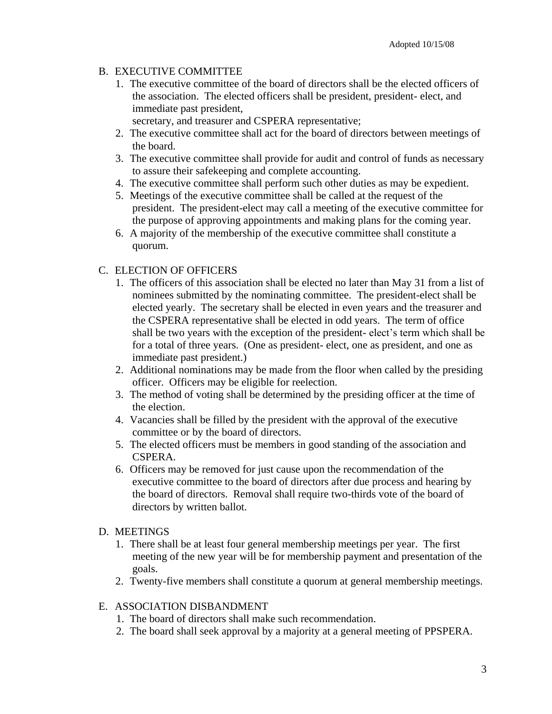# B. EXECUTIVE COMMITTEE

1. The executive committee of the board of directors shall be the elected officers of the association. The elected officers shall be president, president- elect, and immediate past president,

secretary, and treasurer and CSPERA representative;

- 2. The executive committee shall act for the board of directors between meetings of the board.
- 3. The executive committee shall provide for audit and control of funds as necessary to assure their safekeeping and complete accounting.
- 4. The executive committee shall perform such other duties as may be expedient.
- 5. Meetings of the executive committee shall be called at the request of the president. The president-elect may call a meeting of the executive committee for the purpose of approving appointments and making plans for the coming year.
- 6. A majority of the membership of the executive committee shall constitute a quorum.

### C. ELECTION OF OFFICERS

- 1. The officers of this association shall be elected no later than May 31 from a list of nominees submitted by the nominating committee. The president-elect shall be elected yearly. The secretary shall be elected in even years and the treasurer and the CSPERA representative shall be elected in odd years. The term of office shall be two years with the exception of the president- elect's term which shall be for a total of three years. (One as president- elect, one as president, and one as immediate past president.)
- 2. Additional nominations may be made from the floor when called by the presiding officer. Officers may be eligible for reelection.
- 3. The method of voting shall be determined by the presiding officer at the time of the election.
- 4. Vacancies shall be filled by the president with the approval of the executive committee or by the board of directors.
- 5. The elected officers must be members in good standing of the association and CSPERA.
- 6. Officers may be removed for just cause upon the recommendation of the executive committee to the board of directors after due process and hearing by the board of directors. Removal shall require two-thirds vote of the board of directors by written ballot.

### D. MEETINGS

- 1. There shall be at least four general membership meetings per year. The first meeting of the new year will be for membership payment and presentation of the goals.
- 2. Twenty-five members shall constitute a quorum at general membership meetings.

#### E. ASSOCIATION DISBANDMENT

- 1. The board of directors shall make such recommendation.
- 2. The board shall seek approval by a majority at a general meeting of PPSPERA.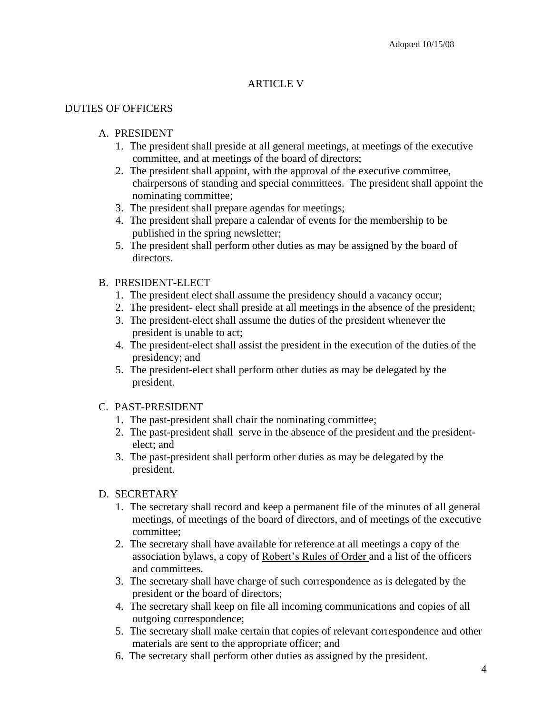# ARTICLE V

#### DUTIES OF OFFICERS

#### A. PRESIDENT

- 1. The president shall preside at all general meetings, at meetings of the executive committee, and at meetings of the board of directors;
- 2. The president shall appoint, with the approval of the executive committee, chairpersons of standing and special committees. The president shall appoint the nominating committee;
- 3. The president shall prepare agendas for meetings;
- 4. The president shall prepare a calendar of events for the membership to be published in the spring newsletter;
- 5. The president shall perform other duties as may be assigned by the board of directors.

## B. PRESIDENT-ELECT

- 1. The president elect shall assume the presidency should a vacancy occur;
- 2. The president- elect shall preside at all meetings in the absence of the president;
- 3. The president-elect shall assume the duties of the president whenever the president is unable to act;
- 4. The president-elect shall assist the president in the execution of the duties of the presidency; and
- 5. The president-elect shall perform other duties as may be delegated by the president.

#### C. PAST-PRESIDENT

- 1. The past-president shall chair the nominating committee;
- 2. The past-president shall serve in the absence of the president and the presidentelect; and
- 3. The past-president shall perform other duties as may be delegated by the president.

#### D. SECRETARY

- 1. The secretary shall record and keep a permanent file of the minutes of all general meetings, of meetings of the board of directors, and of meetings of the executive committee;
- 2. The secretary shall have available for reference at all meetings a copy of the association bylaws, a copy of Robert's Rules of Order and a list of the officers and committees.
- 3. The secretary shall have charge of such correspondence as is delegated by the president or the board of directors;
- 4. The secretary shall keep on file all incoming communications and copies of all outgoing correspondence;
- 5. The secretary shall make certain that copies of relevant correspondence and other materials are sent to the appropriate officer; and
- 6. The secretary shall perform other duties as assigned by the president.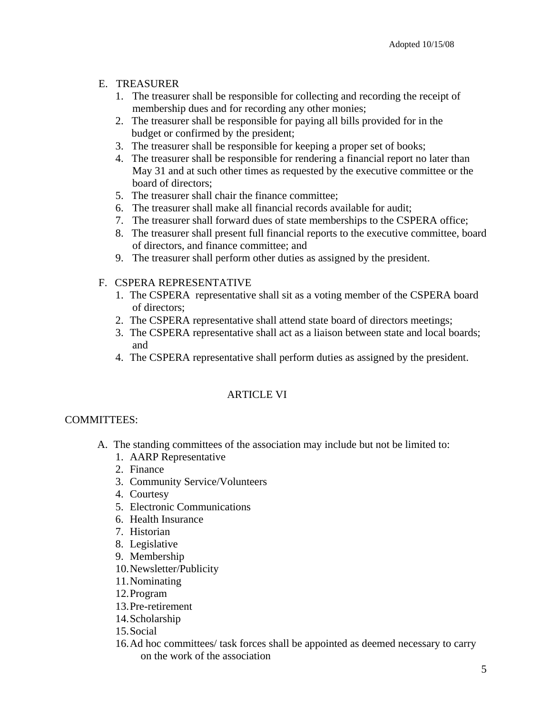# E. TREASURER

- 1. The treasurer shall be responsible for collecting and recording the receipt of membership dues and for recording any other monies;
- 2. The treasurer shall be responsible for paying all bills provided for in the budget or confirmed by the president;
- 3. The treasurer shall be responsible for keeping a proper set of books;
- 4. The treasurer shall be responsible for rendering a financial report no later than May 31 and at such other times as requested by the executive committee or the board of directors;
- 5. The treasurer shall chair the finance committee;
- 6. The treasurer shall make all financial records available for audit;
- 7. The treasurer shall forward dues of state memberships to the CSPERA office;
- 8. The treasurer shall present full financial reports to the executive committee, board of directors, and finance committee; and
- 9. The treasurer shall perform other duties as assigned by the president.

# F. CSPERA REPRESENTATIVE

- 1. The CSPERA representative shall sit as a voting member of the CSPERA board of directors;
- 2. The CSPERA representative shall attend state board of directors meetings;
- 3. The CSPERA representative shall act as a liaison between state and local boards; and
- 4. The CSPERA representative shall perform duties as assigned by the president.

# ARTICLE VI

# COMMITTEES:

- A. The standing committees of the association may include but not be limited to:
	- 1. AARP Representative
	- 2. Finance
	- 3. Community Service/Volunteers
	- 4. Courtesy
	- 5. Electronic Communications
	- 6. Health Insurance
	- 7. Historian
	- 8. Legislative
	- 9. Membership
	- 10.Newsletter/Publicity
	- 11.Nominating
	- 12.Program
	- 13.Pre-retirement
	- 14.Scholarship
	- 15.Social
	- 16.Ad hoc committees/ task forces shall be appointed as deemed necessary to carry on the work of the association